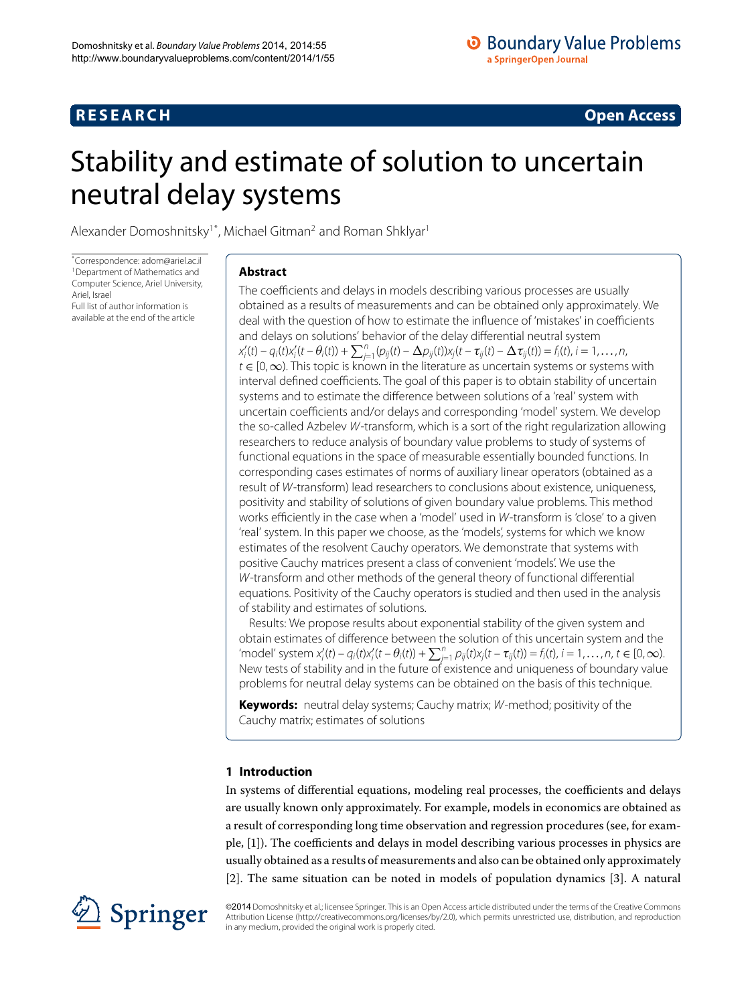## **R E S E A R C H Open Access**

## <span id="page-0-0"></span>Stability and estimate of solution to uncertain neutral delay systems

Alexander Domoshnitsky<sup>1[\\*](#page-0-0)</sup>, Michael Gitman<sup>[2](#page-11-1)</sup> and Roman Shklyar<sup>1</sup>

\* Correspondence: [adom@ariel.ac.il](mailto:adom@ariel.ac.il) [1](#page-11-0)Department of Mathematics and Computer Science, Ariel University, Ariel, Israel Full list of author information is available at the end of the article

### **Abstract**

The coefficients and delays in models describing various processes are usually obtained as a results of measurements and can be obtained only approximately. We deal with the question of how to estimate the influence of 'mistakes' in coefficients and delays on solutions' behavior of the delay differential neutral system  $x'_{i}(t) - q_{i}(t)x'_{i}(t - \theta_{i}(t)) + \sum_{j=1}^{n} (p_{ij}(t) - \Delta p_{ij}(t))x_{j}(t - \tau_{ij}(t) - \Delta \tau_{ij}(t)) = f_{i}(t), i = 1, ..., n,$  $t \in [0,\infty)$ . This topic is known in the literature as uncertain systems or systems with interval defined coefficients. The goal of this paper is to obtain stability of uncertain systems and to estimate the difference between solutions of a 'real' system with uncertain coefficients and/or delays and corresponding 'model' system. We develop the so-called Azbelev W-transform, which is a sort of the right regularization allowing researchers to reduce analysis of boundary value problems to study of systems of functional equations in the space of measurable essentially bounded functions. In corresponding cases estimates of norms of auxiliary linear operators (obtained as a result of W-transform) lead researchers to conclusions about existence, uniqueness, positivity and stability of solutions of given boundary value problems. This method works efficiently in the case when a 'model' used in W-transform is 'close' to a given 'real' system. In this paper we choose, as the 'models', systems for which we know estimates of the resolvent Cauchy operators. We demonstrate that systems with positive Cauchy matrices present a class of convenient 'models'. We use the W-transform and other methods of the general theory of functional differential equations. Positivity of the Cauchy operators is studied and then used in the analysis of stability and estimates of solutions.

Results: We propose results about exponential stability of the given system and obtain estimates of difference between the solution of this uncertain system and the  $\text{``model'' system}\ x_i'(t) - q_i(t)x_i'(t - \theta_i(t)) + \sum_{j=1}^n p_{ij}(t)x_j(t - \tau_{ij}(t)) = f_i(t), i = 1, \ldots, n, t \in [0, \infty).$ New tests of stability and in the future of existence and uniqueness of boundary value problems for neutral delay systems can be obtained on the basis of this technique.

**Keywords:** neutral delay systems; Cauchy matrix; W-method; positivity of the Cauchy matrix; estimates of solutions

## **1 Introduction**

In systems of differential equations, modeling real processes, the coefficients and delays are usually known only approximately. For example, models in economics are obtained as a result of corresponding long time observation and regression procedures (see, for example, [\[\]](#page-12-0)). The coefficients and delays in model describing various processes in physics are usually obtained as a results of measurements and also can be obtained only approximately [[\]](#page-12-1). The same situation can be noted in models of population dynamics [[\]](#page-12-2). A natural



©2014 Domoshnitsky et al.; licensee Springer. This is an Open Access article distributed under the terms of the Creative Commons Attribution License [\(http://creativecommons.org/licenses/by/2.0](http://creativecommons.org/licenses/by/2.0)), which permits unrestricted use, distribution, and reproduction in any medium, provided the original work is properly cited.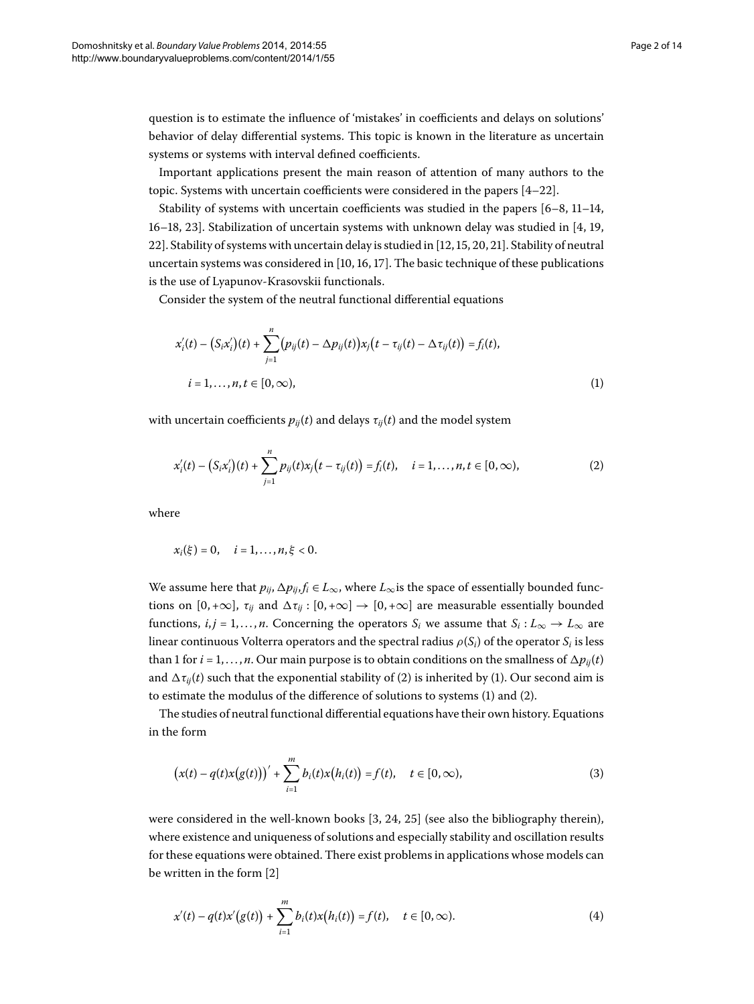question is to estimate the influence of 'mistakes' in coefficients and delays on solutions' behavior of delay differential systems. This topic is known in the literature as uncertain systems or systems with interval defined coefficients.

Important applications present the main reason of attention of many authors to the topic. Systems with uncertain coefficients were considered in the papers  $[4-22]$ .

Stability of systems with uncertain coefficients was studied in the papers  $[6-8, 11-14,$  $[6-8, 11-14,$  $[6-8, 11-14,$ 16[–](#page-12-9)18, 23[\]](#page-12-11). Stabilization of uncertain systems with unknown delay was studied in  $[4, 19, 10]$ 22[\]](#page-12-16). Stability of systems with uncertain delay is studied in [12[,](#page-12-15) 15, 20, 21]. Stability of neutral uncertain systems was considered in  $[10, 16, 17]$ . The basic technique of these publications is the use of Lyapunov-Krasovskii functionals.

Consider the system of the neutral functional differential equations

<span id="page-1-1"></span><span id="page-1-0"></span>
$$
x'_{i}(t) - (S_{i}x'_{i})(t) + \sum_{j=1}^{n} (p_{ij}(t) - \Delta p_{ij}(t))x_{j}(t - \tau_{ij}(t) - \Delta \tau_{ij}(t)) = f_{i}(t),
$$
  
\n
$$
i = 1,..., n, t \in [0, \infty),
$$
\n(1)

with uncertain coefficients  $p_{ij}(t)$  and delays  $\tau_{ij}(t)$  and the model system

$$
x'_{i}(t) - (S_{i}x'_{i})(t) + \sum_{j=1}^{n} p_{ij}(t)x_{j}(t - \tau_{ij}(t)) = f_{i}(t), \quad i = 1, ..., n, t \in [0, \infty),
$$
\n(2)

where

$$
x_i(\xi) = 0
$$
,  $i = 1, ..., n, \xi < 0$ .

We assume here that  $p_{ij}$ ,  $\Delta p_{ij}$ ,  $f_i \in L_{\infty}$ , where  $L_{\infty}$  is the space of essentially bounded functions on [0, +∞],  $\tau_{ij}$  and  $\Delta \tau_{ij}$  : [0, +∞]  $\rightarrow$  [0, +∞] are measurable essentially bounded functions,  $i, j = 1, \ldots, n$ . Concerning the operators  $S_i$  we assume that  $S_i : L_\infty \to L_\infty$  are linear continuous Volterra operators and the spectral radius  $\rho(S_i)$  of the operator  $S_i$  is less than 1 for  $i = 1, \ldots, n$ . Our main purpose is to obtain conditions on the smallness of  $\Delta p_{ij}(t)$ and  $\Delta \tau_{ij}(t)$  $\Delta \tau_{ij}(t)$  $\Delta \tau_{ij}(t)$  such that the exponential stability of (2) is inherited by (1). Our second aim is to estimate the modulus of the difference of solutions to systems (1[\)](#page-1-1) and [\(](#page-1-0)2).

The studies of neutral functional differential equations have their own history. Equations in the form

<span id="page-1-2"></span>
$$
(x(t) - q(t)x(g(t)))' + \sum_{i=1}^{m} b_i(t)x(h_i(t)) = f(t), \quad t \in [0, \infty),
$$
\n(3)

were considered in the well-known books  $[3, 24, 25]$  $[3, 24, 25]$  $[3, 24, 25]$  $[3, 24, 25]$  $[3, 24, 25]$  (see also the bibliography therein), where existence and uniqueness of solutions and especially stability and oscillation results for these equations were obtained. There exist problems in applications whose models can be written in the form [2[\]](#page-12-1)

$$
x'(t) - q(t)x'(g(t)) + \sum_{i=1}^{m} b_i(t)x(h_i(t)) = f(t), \quad t \in [0, \infty).
$$
 (4)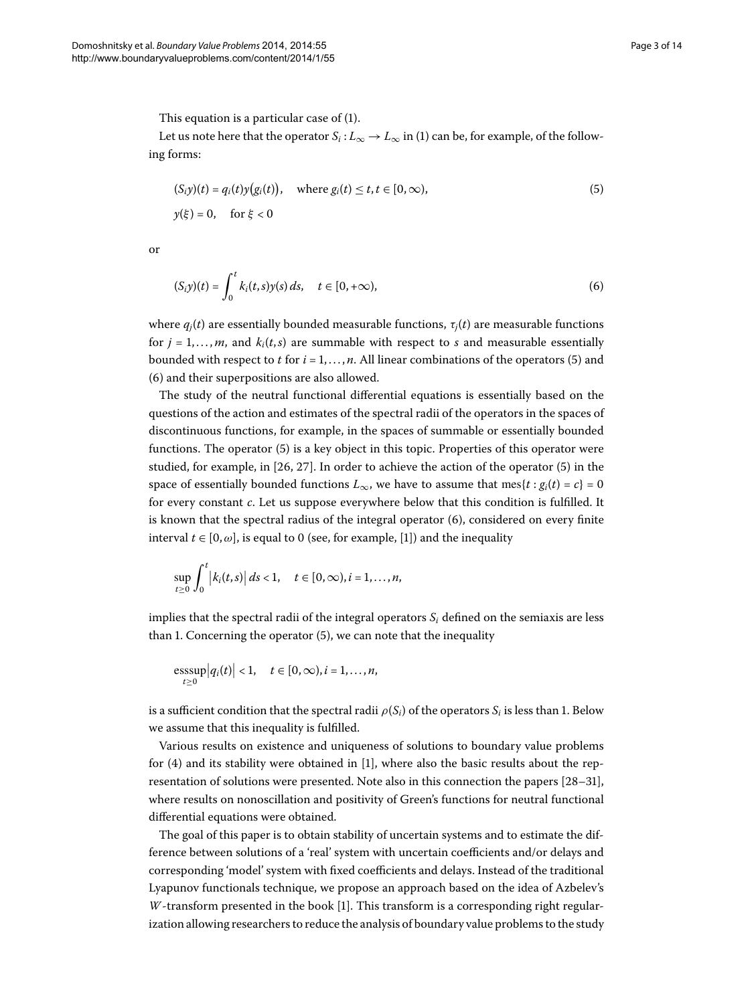This equation is a particular case of  $(1)$  $(1)$ .

Let us note here that the operator  $S_i: L_\infty \to L_\infty$  in (1) can be, for example, of the following forms:

<span id="page-2-1"></span><span id="page-2-0"></span>
$$
(S_i y)(t) = q_i(t)y(g_i(t)), \quad \text{where } g_i(t) \le t, t \in [0, \infty),
$$
  

$$
y(\xi) = 0, \quad \text{for } \xi < 0
$$
 (5)

or

$$
(S_i y)(t) = \int_0^t k_i(t, s) y(s) ds, \quad t \in [0, +\infty),
$$
 (6)

where  $q_i(t)$  are essentially bounded measurable functions,  $\tau_i(t)$  are measurable functions for  $j = 1, \ldots, m$ , and  $k_i(t, s)$  are summable with respect to *s* and measurable essentially bounded with respect to  $t$  for  $i = 1, ..., n$ . All linear combinations of the operators (5[\)](#page-2-0) and (6) and their superpositions are also allowed.

The study of the neutral functional differential equations is essentially based on the questions of the action and estimates of the spectral radii of the operators in the spaces of discontinuous functions, for example, in the spaces of summable or essentially bounded functions. The operator  $(5)$  is a key object in this topic. Properties of this operator were studied, for example, in  $[26, 27]$  $[26, 27]$ . In order to achieve the action of the operator (5[\)](#page-2-0) in the space of essentially bounded functions  $L_{\infty}$ , we have to assume that mes{*t* :  $g_i(t) = c$ } = 0 for every constant *c*. Let us suppose everywhere below that this condition is fulfilled. It is known that the spectral radius of the integral operator  $(6)$  $(6)$ , considered on every finite interval  $t \in [0, \omega]$  $t \in [0, \omega]$  $t \in [0, \omega]$ , is equal to 0 (see, for example, [1]) and the inequality

$$
\sup_{t\geq 0}\int_0^t \left|k_i(t,s)\right|ds<1,\quad t\in [0,\infty), i=1,\ldots,n,
$$

implies that the spectral radii of the integral operators  $S_i$  defined on the semiaxis are less than 1. Concerning the operator  $(5)$  $(5)$ , we can note that the inequality

$$
\underset{t\geq 0}{\operatorname{esssup}}\left|q_i(t)\right|<1,\quad t\in[0,\infty), i=1,\ldots,n,
$$

is a sufficient condition that the spectral radii  $\rho(S_i)$  of the operators  $S_i$  is less than 1. Below we assume that this inequality is fulfilled.

Various results on existence and uniqueness of solutions to boundary value problems for  $(4)$  $(4)$  and its stability were obtained in [1[\]](#page-12-0), where also the basic results about the representation of solutions were presented. Note also in this connection the papers  $[28-31]$  $[28-31]$ , where results on nonoscillation and positivity of Green's functions for neutral functional differential equations were obtained.

The goal of this paper is to obtain stability of uncertain systems and to estimate the difference between solutions of a 'real' system with uncertain coefficients and/or delays and corresponding 'model' system with fixed coefficients and delays. Instead of the traditional Lyapunov functionals technique, we propose an approach based on the idea of Azbelev's *W*-transform presented in the book [1[\]](#page-12-0). This transform is a corresponding right regularization allowing researchers to reduce the analysis of boundary value problems to the study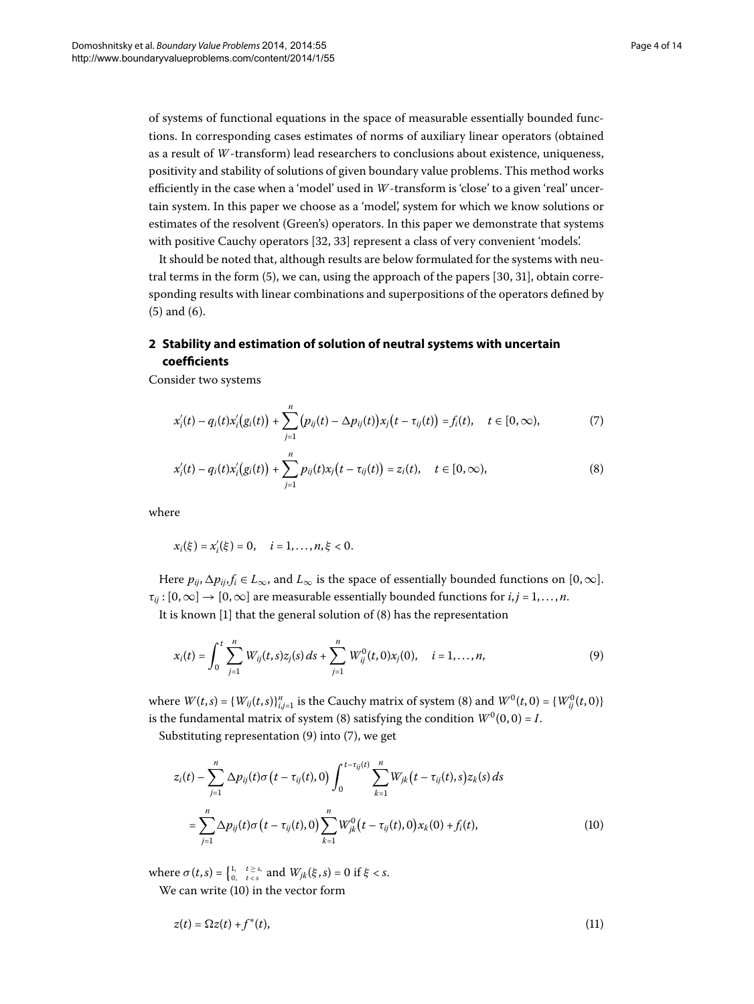of systems of functional equations in the space of measurable essentially bounded functions. In corresponding cases estimates of norms of auxiliary linear operators (obtained as a result of *W*-transform) lead researchers to conclusions about existence, uniqueness, positivity and stability of solutions of given boundary value problems. This method works efficiently in the case when a 'model' used in *W*-transform is 'close' to a given 'real' uncertain system. In this paper we choose as a 'model', system for which we know solutions or estimates of the resolvent (Green's) operators. In this paper we demonstrate that systems with positive Cauchy operators [\[](#page-12-25)32, 33[\]](#page-12-26) represent a class of very convenient 'models'.

<span id="page-3-4"></span>It should be noted that, although results are below formulated for the systems with neutral terms in the form  $(5)$  $(5)$ [,](#page-12-27) we can, using the approach of the papers  $[30, 31]$ , obtain corresponding results with linear combinations and superpositions of the operators defined by  $(5)$  $(5)$  and  $(6)$ .

## **2 Stability and estimation of solution of neutral systems with uncertain coefficients**

Consider two systems

<span id="page-3-2"></span><span id="page-3-0"></span>
$$
x'_{i}(t) - q_{i}(t)x'_{i}(g_{i}(t)) + \sum_{j=1}^{n} (p_{ij}(t) - \Delta p_{ij}(t))x_{j}(t - \tau_{ij}(t)) = f_{i}(t), \quad t \in [0, \infty),
$$
 (7)

$$
x'_{i}(t) - q_{i}(t)x'_{i}(g_{i}(t)) + \sum_{j=1}^{n} p_{ij}(t)x_{j}(t - \tau_{ij}(t)) = z_{i}(t), \quad t \in [0, \infty),
$$
\n(8)

where

<span id="page-3-1"></span>
$$
x_i(\xi) = x'_i(\xi) = 0, \quad i = 1, ..., n, \xi < 0.
$$

Here  $p_{ij}$ ,  $\Delta p_{ij}$ ,  $f_i \in L_{\infty}$ , and  $L_{\infty}$  is the space of essentially bounded functions on [0,  $\infty$ ].  $\tau_{ii}$ :  $[0,\infty] \rightarrow [0,\infty]$  are measurable essentially bounded functions for  $i, j = 1, ..., n$ .

It is known  $[1]$  $[1]$  that the general solution of  $(8)$  $(8)$  has the representation

$$
x_i(t) = \int_0^t \sum_{j=1}^n W_{ij}(t,s) z_j(s) \, ds + \sum_{j=1}^n W_{ij}^0(t,0) x_j(0), \quad i = 1,\ldots,n,\tag{9}
$$

where  $W(t,s) = \{W_{ij}(t,s)\}_{i,j=1}^n$  $W(t,s) = \{W_{ij}(t,s)\}_{i,j=1}^n$  $W(t,s) = \{W_{ij}(t,s)\}_{i,j=1}^n$  is the Cauchy matrix of system (8) and  $W^0(t,0) = \{W_{ij}^0(t,0)\}$ is the fundamental matrix of system (8[\)](#page-3-0) satisfying the condition  $W^0(0, 0) = I$ .

Substituting representation  $(9)$  $(9)$  $(9)$  into  $(7)$ , we get

<span id="page-3-3"></span>
$$
z_i(t) - \sum_{j=1}^n \Delta p_{ij}(t)\sigma(t-\tau_{ij}(t),0) \int_0^{t-\tau_{ij}(t)} \sum_{k=1}^n W_{jk}(t-\tau_{ij}(t),s) z_k(s) ds
$$
  
= 
$$
\sum_{j=1}^n \Delta p_{ij}(t)\sigma(t-\tau_{ij}(t),0) \sum_{k=1}^n W_{jk}^0(t-\tau_{ij}(t),0) x_k(0) + f_i(t),
$$
 (10)

where  $\sigma(t,s) = \begin{cases} 1, & t \geq s, \\ 0, & t < s \end{cases}$  and  $W_{jk}(\xi, s) = 0$  if  $\xi < s$ . We can write  $(10)$  $(10)$  in the vector form

$$
z(t) = \Omega z(t) + f^*(t),\tag{11}
$$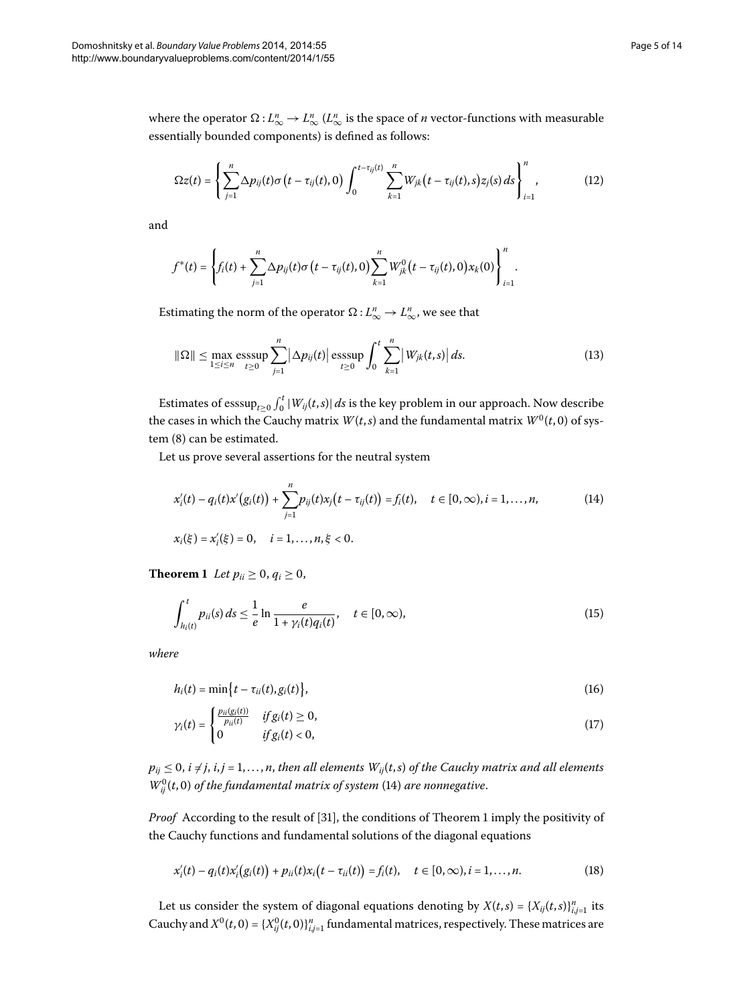where the operator  $\Omega: L^n_\infty \to L^n_\infty$  ( $L^n_\infty$  is the space of *n* vector-functions with measurable essentially bounded components) is defined as follows:

<span id="page-4-3"></span>
$$
\Omega z(t) = \left\{ \sum_{j=1}^{n} \Delta p_{ij}(t) \sigma(t - \tau_{ij}(t), 0) \int_{0}^{t - \tau_{ij}(t)} \sum_{k=1}^{n} W_{jk}(t - \tau_{ij}(t), s) z_{j}(s) ds \right\}_{i=1}^{n},
$$
(12)

and

$$
f^*(t) = \left\{ f_i(t) + \sum_{j=1}^n \Delta p_{ij}(t) \sigma\left(t - \tau_{ij}(t), 0\right) \sum_{k=1}^n W_{jk}^0\left(t - \tau_{ij}(t), 0\right) x_k(0) \right\}_{i=1}^n.
$$

Estimating the norm of the operator  $\Omega: L^n_{\infty} \to L^n_{\infty}$ , we see that

<span id="page-4-0"></span>
$$
\|\Omega\| \le \max_{1 \le i \le n} \operatorname{esssup}_{t \ge 0} \sum_{j=1}^n |\Delta p_{ij}(t)| \operatorname{esssup}_{t \ge 0} \int_0^t \sum_{k=1}^n |W_{jk}(t,s)| ds. \tag{13}
$$

Estimates of  $\operatorname{esssup}_{t\geq 0}\int_0^t |W_{ij}(t,s)|\,ds$  is the key problem in our approach. Now describe the cases in which the Cauchy matrix  $W(t, s)$  and the fundamental matrix  $W^0(t, 0)$  of sys-tem (8[\)](#page-3-0) can be estimated.

<span id="page-4-1"></span>Let us prove several assertions for the neutral system

<span id="page-4-2"></span>
$$
x'_{i}(t) - q_{i}(t)x'(g_{i}(t)) + \sum_{j=1}^{n} p_{ij}(t)x_{j}(t - \tau_{ij}(t)) = f_{i}(t), \quad t \in [0, \infty), i = 1, ..., n,
$$
\n
$$
x_{i}(\xi) = x'_{i}(\xi) = 0, \quad i = 1, ..., n, \xi < 0.
$$
\n(14)

**Theorem 1** Let  $p_{ii} \geq 0$ ,  $q_i \geq 0$ ,

$$
\int_{h_i(t)}^t p_{ii}(s) \, ds \le \frac{1}{e} \ln \frac{e}{1 + \gamma_i(t) q_i(t)}, \quad t \in [0, \infty), \tag{15}
$$

*where*

$$
h_i(t) = \min\bigl\{t - \tau_{ii}(t), g_i(t)\bigr\},\tag{16}
$$

$$
\gamma_i(t) = \begin{cases} \frac{p_{ii}(g_i(t))}{p_{ii}(t)} & \text{if } g_i(t) \ge 0, \\ 0 & \text{if } g_i(t) < 0, \end{cases} \tag{17}
$$

 $p_{ij}$   $\leq$  0,  $i$   $\neq$   $j$ ,  $i$ , $j$  = 1,...,n, then all elements  $W_{ij}(t,s)$  of the Cauchy matrix and all elements  $W_{ij}^{0}(t,0)$  of the fundamental matrix of system (14) are nonnegative.

*Proof* According to the result of [31[\]](#page-12-24), the conditions of Theorem 1 imply the positivity of the Cauchy functions and fundamental solutions of the diagonal equations

$$
x'_{i}(t) - q_{i}(t)x'_{i}(g_{i}(t)) + p_{ii}(t)x_{i}(t - \tau_{ii}(t)) = f_{i}(t), \quad t \in [0, \infty), i = 1, ..., n.
$$
 (18)

Let us consider the system of diagonal equations denoting by  $X(t,s) = \{X_{ij}(t,s)\}_{i,j=1}^n$  its Cauchy and  $X^0(t, 0) = \{X^0_{ij}(t, 0)\}_{i,j=1}^n$  fundamental matrices, respectively. These matrices are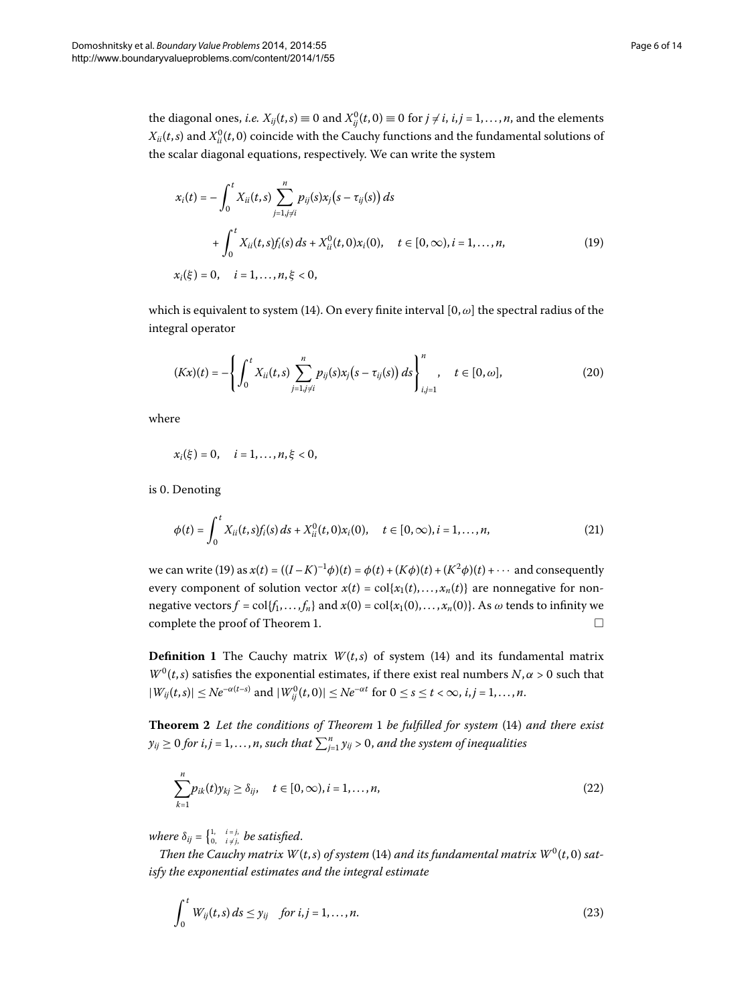<span id="page-5-3"></span><span id="page-5-0"></span>
$$
x_i(t) = -\int_0^t X_{ii}(t,s) \sum_{j=1, j \neq i}^n p_{ij}(s)x_j(s - \tau_{ij}(s)) ds
$$
  
+ 
$$
\int_0^t X_{ii}(t,s)f_i(s) ds + X_{ii}^0(t,0)x_i(0), \quad t \in [0,\infty), i = 1,...,n,x_i(\xi) = 0, \quad i = 1,...,n, \xi < 0,
$$
 (19)

which is equivalent to system (14[\)](#page-4-0). On every finite interval  $[0, \omega]$  the spectral radius of the integral operator

$$
(Kx)(t) = -\left\{ \int_0^t X_{ii}(t,s) \sum_{j=1, j \neq i}^n p_{ij}(s) x_j(s - \tau_{ij}(s)) ds \right\}_{i,j=1}^n, \quad t \in [0, \omega],
$$
 (20)

where

$$
x_i(\xi) = 0, \quad i = 1, ..., n, \xi < 0,
$$

is 0. Denoting

$$
\phi(t) = \int_0^t X_{ii}(t,s)f_i(s) \, ds + X_{ii}^0(t,0)x_i(0), \quad t \in [0,\infty), i = 1,\ldots,n,\tag{21}
$$

we can write [\(](#page-5-0)19) as  $x(t) = ((I - K)^{-1}\phi)(t) = \phi(t) + (K\phi)(t) + (K^2\phi)(t) + \cdots$  and consequently every component of solution vector  $x(t) = \text{col}\{x_1(t), \ldots, x_n(t)\}$  are nonnegative for nonnegative vectors  $f = \text{col}\{f_1, \ldots, f_n\}$  and  $x(0) = \text{col}\{x_1(0), \ldots, x_n(0)\}$ . As  $\omega$  tends to infinity we complete the proof of Theorem 1[.](#page-4-1)  $\Box$ 

**Definition 1** The Cauchy matrix  $W(t,s)$  $W(t,s)$  $W(t,s)$  of system (14) and its fundamental matrix  $W^0(t,s)$  satisfies the exponential estimates, if there exist real numbers  $N, \alpha > 0$  such that  $|W_{ij}(t,s)| \leq Ne^{-\alpha(t-s)}$  and  $|W_{ij}^0(t,0)| \leq Ne^{-\alpha t}$  for  $0 \leq s \leq t < \infty$ ,  $i, j = 1, ..., n$ .

**Theorem**  *Let the conditions of Theorem be fulfilled for system* [\(](#page-4-0)) *and there exist*  $y_{ij}\geq 0$  for  $i,j$  =  $1,\ldots,n,$  such that  $\sum_{j=1}^n y_{ij}>0,$  and the system of inequalities

<span id="page-5-2"></span><span id="page-5-1"></span>
$$
\sum_{k=1}^{n} p_{ik}(t) y_{kj} \ge \delta_{ij}, \quad t \in [0, \infty), i = 1, \dots, n,
$$
\n(22)

*where*  $\delta_{ij} = \begin{cases} 1, & i = j, \ 0, & i \neq j, \end{cases}$  *be satisfied.* 

*Then the Cauchy matrix W*[\(](#page-4-0)*t,s*) *of system* (14) *and its fundamental matrix W*<sup>0</sup>(*t,0*) *satisfy the exponential estimates and the integral estimate*

$$
\int_0^t W_{ij}(t,s) ds \leq y_{ij} \quad \text{for } i,j=1,\ldots,n. \tag{23}
$$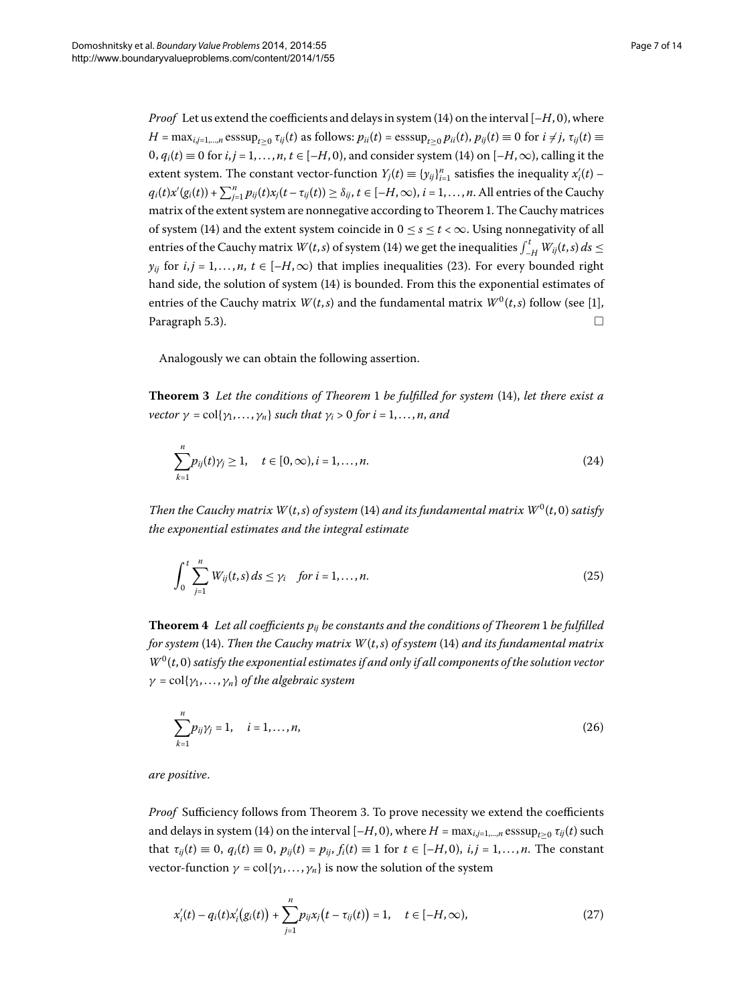*Proof* Let us extend the coefficients and delays in system  $(14)$  on the interval  $[-H, 0)$ , where  $H = \max_{i,j=1,\dots,n} \text{esssup}_{t\geq 0} \tau_{ij}(t)$  as follows:  $p_{ii}(t) = \text{esssup}_{t\geq 0} p_{ii}(t)$ ,  $p_{ij}(t) \equiv 0$  for  $i \neq j$ ,  $\tau_{ij}(t) \equiv 0$  $0, q_i(t) \equiv 0$  $0, q_i(t) \equiv 0$  $0, q_i(t) \equiv 0$  for  $i, j = 1, \ldots, n, t \in [-H, 0)$ , and consider system (14) on  $[-H, \infty)$ , calling it the extent system. The constant vector-function  $Y_j(t) \equiv \{y_{ij}\}_{i=1}^n$  satisfies the inequality  $x'_i(t)$  –  $q_i(t)x'(g_i(t)) + \sum_{j=1}^n p_{ij}(t)x_j(t-\tau_{ij}(t)) \geq \delta_{ij}, t\in[-H,\infty),$   $i=1,\ldots,n.$  All entries of the Cauchy matrix of the extent system are nonnegative according to Theorem 1. The Cauchy matrices of system (14) and the extent system coincide in  $0 \le s \le t < \infty$ . Using nonnegativity of all entries of the Cauchy matrix  $W(t, s)$  $W(t, s)$  of system (14) we get the inequalities  $\int_{-H}^{t} W_{ij}(t, s) ds \leq$ *y<sub>ij</sub>* for *i*, *j* = 1,..., *n*, *t* ∈ [-*H*, ∞[\)](#page-5-1) that implies inequalities (23). For every bounded right hand side, the solution of system (14[\)](#page-4-0) is bounded. From this the exponential estimates of entries of the Cauchy matrix  $W(t, s)$  and the fundamental matrix  $W^0(t, s)$  follow (see [1[\]](#page-12-0), Paragraph 5.3).  $\Box$ 

<span id="page-6-0"></span>Analogously we can obtain the following assertion.

**Theorem 3** Let the conditions of Theorem 1 be fulfilled for system [\(](#page-4-0)14), let there exist a *vector*  $\gamma$  = col{ $\gamma$ <sub>1</sub>,..., $\gamma$ <sub>*n*</sub>} *such that*  $\gamma$ <sup>*i*</sup> > 0 *for i* = 1,..., *n*, *and* 

$$
\sum_{k=1}^{n} p_{ij}(t)\gamma_j \ge 1, \quad t \in [0, \infty), i = 1, ..., n.
$$
 (24)

<span id="page-6-2"></span>*Then the Cauchy matrix*  $W(t,s)$  *of system* (14) *and its fundamental matrix*  $W^0(t,0)$  *satisfy the exponential estimates and the integral estimate*

$$
\int_0^t \sum_{j=1}^n W_{ij}(t,s) \, ds \le \gamma_i \quad \text{for } i = 1, \dots, n. \tag{25}
$$

**Theorem 4** Let all coefficients  $p_{ij}$  be constants and the conditions of Theorem 1 be fulfilled *for system* (14[\)](#page-4-0). Then the Cauchy matrix  $W(t, s)$  of system (14) and its fundamental matrix  $W^0(t,0)$  *satisfy the exponential estimates if and only if all components of the solution vector γ* = col{*γ*,..., *γn*} *of the algebraic system*

<span id="page-6-1"></span>
$$
\sum_{k=1}^{n} p_{ij} \gamma_j = 1, \quad i = 1, ..., n,
$$
\n(26)

*are positive*.

*Proof* Sufficiency follows from Theorem 3[.](#page-6-0) To prove necessity we extend the coefficients and delays in system [\(](#page-4-0)14) on the interval  $[-H, 0)$ , where  $H = \max_{i,j=1,\dots,n} \text{esssup}_{t>0} \tau_{ij}(t)$  such that  $\tau_{ij}(t) \equiv 0$ ,  $q_i(t) \equiv 0$ ,  $p_{ij}(t) = p_{ij}$ ,  $f_i(t) \equiv 1$  for  $t \in [-H, 0)$ ,  $i, j = 1, ..., n$ . The constant vector-function  $\gamma = \text{col}\{\gamma_1, \dots, \gamma_n\}$  is now the solution of the system

$$
x'_{i}(t) - q_{i}(t)x'_{i}(g_{i}(t)) + \sum_{j=1}^{n} p_{ij}x_{j}(t - \tau_{ij}(t)) = 1, \quad t \in [-H, \infty), \tag{27}
$$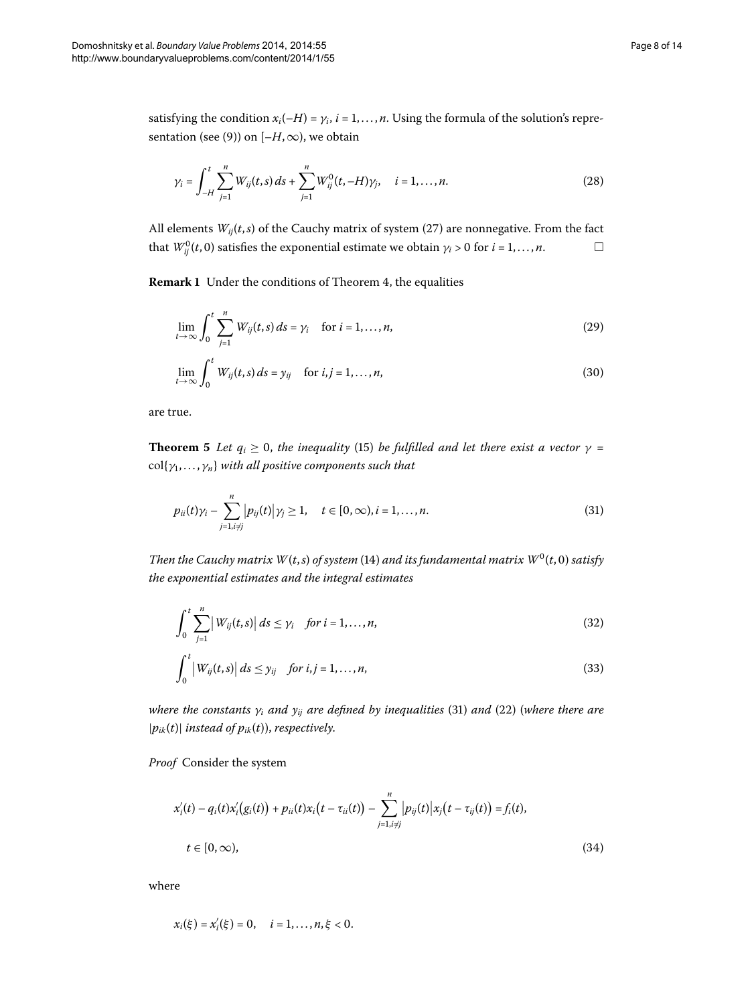satisfying the condition  $x_i(-H) = \gamma_i$ ,  $i = 1, ..., n$ . Using the formula of the solution's repre-sentation [\(](#page-3-1)see (9)) on  $[-H, \infty)$ , we obtain

$$
\gamma_i = \int_{-H}^t \sum_{j=1}^n W_{ij}(t,s) \, ds + \sum_{j=1}^n W_{ij}^0(t,-H) \gamma_j, \quad i=1,\ldots,n. \tag{28}
$$

All elements  $W_{ij}(t,s)$  $W_{ij}(t,s)$  of the Cauchy matrix of system (27) are nonnegative. From the fact that  $W_{ij}^0(t,0)$  satisfies the exponential estimate we obtain  $\gamma_i > 0$  for  $i = 1, \ldots, n$ .  $\Box$ 

**Remark 1** Under the conditions of Theorem 4[,](#page-6-2) the equalities

<span id="page-7-3"></span>
$$
\lim_{t\to\infty}\int_0^t\sum_{j=1}^n W_{ij}(t,s)\,ds=\gamma_i\quad\text{ for }i=1,\ldots,n,\tag{29}
$$

<span id="page-7-0"></span>
$$
\lim_{t \to \infty} \int_0^t W_{ij}(t, s) \, ds = y_{ij} \quad \text{for } i, j = 1, \dots, n,
$$
\n(30)

are true.

**Theorem 5** Let  $q_i \geq 0$ , the inequality [\(](#page-4-2)15) be fulfilled and let there exist a vector  $\gamma =$ col{*γ*,..., *γn*} *with all positive components such that*

<span id="page-7-1"></span>
$$
p_{ii}(t)\gamma_i - \sum_{j=1, i \neq j}^{n} |p_{ij}(t)|\gamma_j \ge 1, \quad t \in [0, \infty), i = 1, ..., n.
$$
 (31)

*Then the Cauchy matrix W*(*t*,*s*) *of system* (14) *and its fundamental matrix W*<sup>0</sup>(*t*, 0) *satisfy the exponential estimates and the integral estimates*

<span id="page-7-2"></span>
$$
\int_0^t \sum_{j=1}^n \left| W_{ij}(t,s) \right| ds \leq \gamma_i \quad \text{for } i = 1,\dots,n,
$$
\n(32)

$$
\int_0^t \left| W_{ij}(t,s) \right| ds \leq y_{ij} \quad \text{for } i,j = 1,\ldots,n,
$$
\n(33)

*where the constants*  $\gamma_i$  *and*  $y_{ij}$  *are defined by inequalities* [\(](#page-7-0)31[\)](#page-5-2) *and* (22) (*where there are*  $|p_{ik}(t)|$  *instead of*  $p_{ik}(t)$ *, respectively.* 

*Proof* Consider the system

$$
x'_{i}(t) - q_{i}(t)x'_{i}(g_{i}(t)) + p_{ii}(t)x_{i}(t - \tau_{ii}(t)) - \sum_{j=1, i \neq j}^{n} |p_{ij}(t)|x_{j}(t - \tau_{ij}(t)) = f_{i}(t),
$$
  
\n
$$
t \in [0, \infty),
$$
\n(34)

where

$$
x_i(\xi) = x'_i(\xi) = 0, \quad i = 1, ..., n, \xi < 0.
$$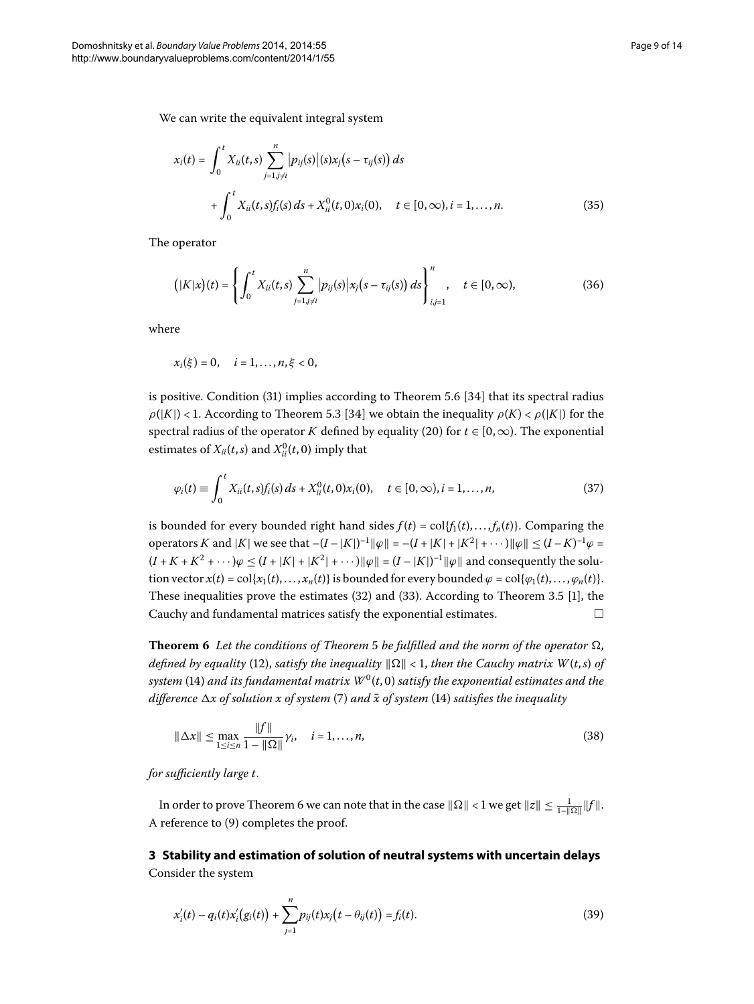We can write the equivalent integral system

$$
x_i(t) = \int_0^t X_{ii}(t,s) \sum_{j=1, j \neq i}^n |p_{ij}(s)| (s) x_j(s - \tau_{ij}(s)) ds
$$
  
+ 
$$
\int_0^t X_{ii}(t,s) f_i(s) ds + X_{ii}^0(t,0) x_i(0), \quad t \in [0,\infty), i = 1,...,n.
$$
 (35)

The operator

$$
\left(|K|x\right)(t) = \left\{ \int_0^t X_{ii}(t,s) \sum_{j=1, j \neq i}^n |p_{ij}(s)| x_j(s - \tau_{ij}(s)) ds \right\}_{i,j=1}^n, \quad t \in [0, \infty), \tag{36}
$$

where

$$
x_i(\xi) = 0, \quad i = 1, ..., n, \xi < 0,
$$

is positive. Condition  $(31)$  $(31)$  implies according to Theorem 5.6  $[34]$  that its spectral radius  $\rho(|K|)$  < 1. According to Theorem 5.3 [34] we obtain the inequality  $\rho(K) < \rho(|K|)$  for the spectral radius of the operator *K* defined by equality (20) for  $t \in [0, \infty)$ . The exponential estimates of  $X_{ii}(t,s)$  and  $X_{ii}^0(t,0)$  imply that

$$
\varphi_i(t) \equiv \int_0^t X_{ii}(t,s) f_i(s) \, ds + X_{ii}^0(t,0) x_i(0), \quad t \in [0,\infty), i = 1,\ldots,n,
$$
\n(37)

<span id="page-8-0"></span>is bounded for every bounded right hand sides  $f(t) = \text{col}\{f_1(t), \ldots, f_n(t)\}\)$ . Comparing the operators *K* and |*K*| we see that  $-(I - |K|)^{-1} ||\varphi|| = -(I + |K| + |K^2| + \cdots) ||\varphi|| \le (I - K)^{-1} \varphi =$  $(I + K + K^2 + \cdots)\varphi \le (I + |K| + |K^2| + \cdots) \|\varphi\| = (I - |K|)^{-1} \|\varphi\|$  and consequently the solution vector  $x(t) = \text{col}\{x_1(t), \ldots, x_n(t)\}$  is bounded for every bounded  $\varphi = \text{col}\{\varphi_1(t), \ldots, \varphi_n(t)\}.$ These inequalities prove the estimates  $(32)$  $(32)$  and  $(33)$  $(33)$ . According to Theorem 3.5 [1[\]](#page-12-0), the Cauchy and fundamental matrices satisfy the exponential estimates. - $\Box$ 

**Theorem 6** Let the conditions of Theorem 5 be fulfilled and the norm of the operator  $\Omega$ , *defined by equality* [\(](#page-4-3)12), *satisfy the inequality*  $\|\Omega\| < 1$ *, then the Cauchy matrix W(t,s) of system* (14[\)](#page-4-0) and its fundamental matrix  $W^0(t, 0)$  satisfy the exponential estimates and the *difference*  $\Delta x$  of solution x of system (7[\)](#page-3-2) and  $\bar{x}$  of system [\(](#page-4-0)14) satisfies the inequality

<span id="page-8-1"></span>
$$
\|\Delta x\| \le \max_{1 \le i \le n} \frac{\|f\|}{1 - \|\Omega\|} \gamma_i, \quad i = 1, ..., n,
$$
\n(38)

*for sufficiently large t*.

In order to prove Theorem 6 we can note that in the case  $\|\Omega\| < 1$  we get  $\|z\| \leq \frac{1}{1-\|\Omega\|} \|f\|$ . A reference to  $(9)$  $(9)$  completes the proof.

**3 Stability and estimation of solution of neutral systems with uncertain delays** Consider the system

$$
x'_{i}(t) - q_{i}(t)x'_{i}(g_{i}(t)) + \sum_{j=1}^{n} p_{ij}(t)x_{j}(t - \theta_{ij}(t)) = f_{i}(t).
$$
\n(39)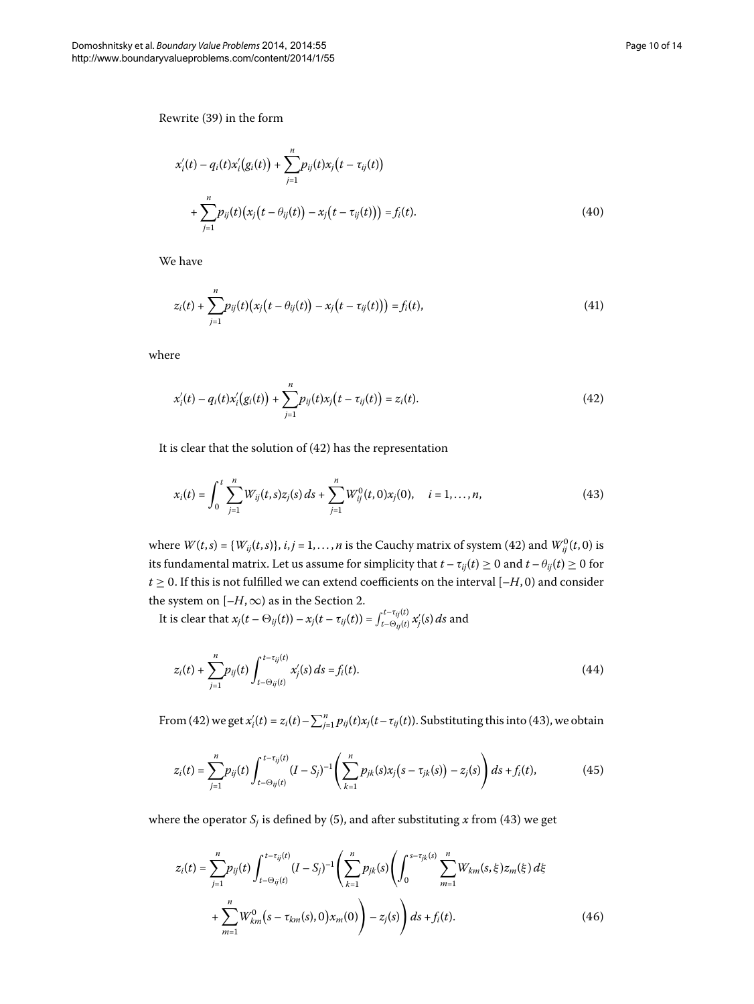Rewrite (39[\)](#page-8-1) in the form

$$
x'_{i}(t) - q_{i}(t)x'_{i}(g_{i}(t)) + \sum_{j=1}^{n} p_{ij}(t)x_{j}(t - \tau_{ij}(t)) + \sum_{j=1}^{n} p_{ij}(t)(x_{j}(t - \theta_{ij}(t)) - x_{j}(t - \tau_{ij}(t))) = f_{i}(t).
$$
\n(40)

We have

<span id="page-9-0"></span>
$$
z_i(t) + \sum_{j=1}^n p_{ij}(t) (x_j(t - \theta_{ij}(t)) - x_j(t - \tau_{ij}(t))) = f_i(t),
$$
\n(41)

where

<span id="page-9-1"></span>
$$
x'_{i}(t) - q_{i}(t)x'_{i}(g_{i}(t)) + \sum_{j=1}^{n} p_{ij}(t)x_{j}(t - \tau_{ij}(t)) = z_{i}(t).
$$
\n(42)

It is clear that the solution of  $(42)$  $(42)$  has the representation

$$
x_i(t) = \int_0^t \sum_{j=1}^n W_{ij}(t,s) z_j(s) \, ds + \sum_{j=1}^n W_{ij}^0(t,0) x_j(0), \quad i = 1,\ldots,n,\tag{43}
$$

where  $W(t,s) = \{W_{ij}(t,s)\}, i,j = 1, \ldots, n$  is the Cauchy matrix of system (42) and  $W_{ij}^0(t,0)$  is its fundamental matrix. Let us assume for simplicity that  $t - \tau_{ij}(t) \ge 0$  and  $t - \theta_{ij}(t) \ge 0$  for  $t \geq 0$ . If this is not fulfilled we can extend coefficients on the interval  $[-H, 0)$  and consider the system on  $[-H,\infty)$  as in the Section 2.

It is clear that  $x_j(t - \Theta_{ij}(t)) - x_j(t - \tau_{ij}(t)) = \int_{t - \Theta_{ij}(t)}^{t - \tau_{ij}(t)} x_j'(s) ds$  and

$$
z_i(t) + \sum_{j=1}^n p_{ij}(t) \int_{t-\Theta_{ij}(t)}^{t-\tau_{ij}(t)} x'_j(s) ds = f_i(t).
$$
 (44)

From (42) we get  $x'_i(t) = z_i(t) - \sum_{j=1}^n p_{ij}(t) x_j(t - \tau_{ij}(t))$ . Substituting this into (43), we obtain

<span id="page-9-2"></span>
$$
z_i(t) = \sum_{j=1}^n p_{ij}(t) \int_{t-\Theta_{ij}(t)}^{t-\tau_{ij}(t)} (I-S_j)^{-1} \left( \sum_{k=1}^n p_{jk}(s) x_j (s-\tau_{jk}(s)) - z_j(s) \right) ds + f_i(t), \tag{45}
$$

where the operator  $S_j$  is defined by (5), and after substituting x from (43) we get

$$
z_i(t) = \sum_{j=1}^n p_{ij}(t) \int_{t-\Theta_{ij}(t)}^{t-\tau_{ij}(t)} (I - S_j)^{-1} \left( \sum_{k=1}^n p_{jk}(s) \left( \int_0^{s-\tau_{jk}(s)} \sum_{m=1}^n W_{km}(s, \xi) z_m(\xi) d\xi + \sum_{m=1}^n W_{km}^0 (s - \tau_{km}(s), 0) x_m(0) \right) - z_j(s) \right) ds + f_i(t).
$$
 (46)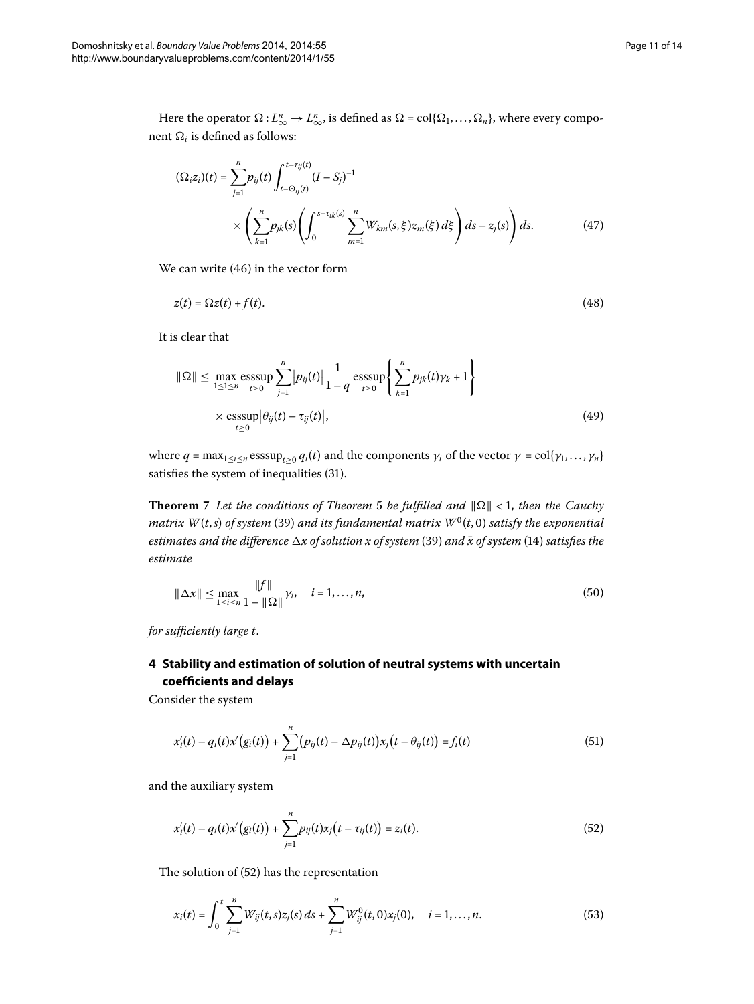$$
(\Omega_i z_i)(t) = \sum_{j=1}^n p_{ij}(t) \int_{t - \Theta_{ij}(t)}^{t - \tau_{ij}(t)} (I - S_j)^{-1}
$$
  
 
$$
\times \left( \sum_{k=1}^n p_{jk}(s) \left( \int_0^{s - \tau_{ik}(s)} \sum_{m=1}^n W_{km}(s, \xi) z_m(\xi) d\xi \right) ds - z_j(s) \right) ds.
$$
 (47)

We can write  $(46)$  $(46)$  in the vector form

$$
z(t) = \Omega z(t) + f(t). \tag{48}
$$

It is clear that

$$
\|\Omega\| \le \max_{1 \le 1 \le n} \operatorname{esssup}_{t \ge 0} \sum_{j=1}^{n} |p_{ij}(t)| \frac{1}{1 - q} \operatorname{esssup}_{t \ge 0} \left\{ \sum_{k=1}^{n} p_{jk}(t) \gamma_k + 1 \right\}
$$
  
×  $\operatorname{esssup}_{t \ge 0} |\theta_{ij}(t) - \tau_{ij}(t)|,$  (49)

where  $q = \max_{1 \le i \le n} \text{esssup}_{t > 0} q_i(t)$  and the components  $\gamma_i$  of the vector  $\gamma = \text{col}\{\gamma_1, \dots, \gamma_n\}$ satisfies the system of inequalities (31[\)](#page-7-0).

**Theorem** 7 Let the conditions of Theorem 5 be fulfilled and  $\|\Omega\| < 1$ , then the Cauchy *matrix*  $W(t, s)$  $W(t, s)$  *of system* (39) *and its fundamental matrix*  $W^0(t, 0)$  *satisfy the exponential estimates and the difference*  $\Delta x$  of solution x of system [\(](#page-4-0)39) and  $\bar{x}$  of system (14) satisfies the *estimate*

<span id="page-10-1"></span>
$$
\|\Delta x\| \le \max_{1 \le i \le n} \frac{\|f\|}{1 - \|\Omega\|} \gamma_i, \quad i = 1, ..., n,
$$
\n(50)

*for sufficiently large t*.

## **4 Stability and estimation of solution of neutral systems with uncertain coefficients and delays**

Consider the system

<span id="page-10-0"></span>
$$
x'_{i}(t) - q_{i}(t)x'(g_{i}(t)) + \sum_{j=1}^{n} (p_{ij}(t) - \Delta p_{ij}(t))x_{j}(t - \theta_{ij}(t)) = f_{i}(t)
$$
\n(51)

and the auxiliary system

$$
x'_{i}(t) - q_{i}(t)x'(g_{i}(t)) + \sum_{j=1}^{n} p_{ij}(t)x_{j}(t - \tau_{ij}(t)) = z_{i}(t).
$$
\n(52)

The solution of  $(52)$  has the representation

$$
x_i(t) = \int_0^t \sum_{j=1}^n W_{ij}(t,s) z_j(s) \, ds + \sum_{j=1}^n W_{ij}^0(t,0) x_j(0), \quad i = 1,\ldots,n. \tag{53}
$$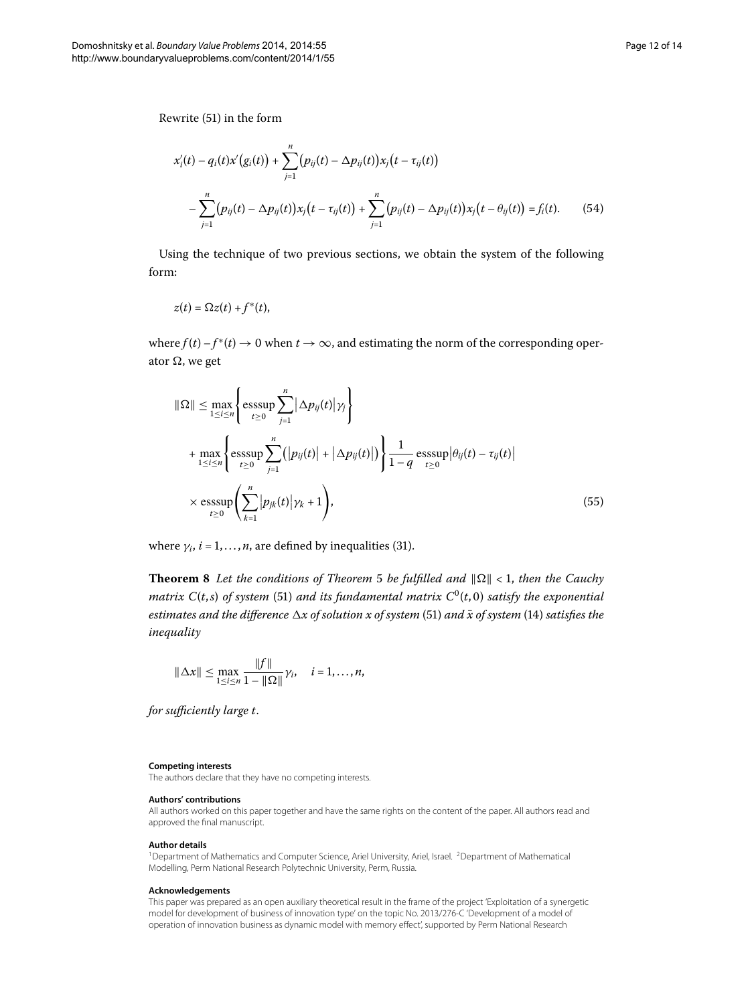Rewrite (51[\)](#page-10-1) in the form

$$
x'_{i}(t) - q_{i}(t)x'(g_{i}(t)) + \sum_{j=1}^{n} (p_{ij}(t) - \Delta p_{ij}(t))x_{j}(t - \tau_{ij}(t))
$$
  
-
$$
\sum_{j=1}^{n} (p_{ij}(t) - \Delta p_{ij}(t))x_{j}(t - \tau_{ij}(t)) + \sum_{j=1}^{n} (p_{ij}(t) - \Delta p_{ij}(t))x_{j}(t - \theta_{ij}(t)) = f_{i}(t).
$$
 (54)

Using the technique of two previous sections, we obtain the system of the following form:

$$
z(t) = \Omega z(t) + f^*(t),
$$

where  $f(t) - f^*(t) \to 0$  when  $t \to \infty$ , and estimating the norm of the corresponding operator  $\Omega$ , we get

$$
\|\Omega\| \le \max_{1 \le i \le n} \left\{ \operatorname*{esssup}_{t \ge 0} \sum_{j=1}^{n} |\Delta p_{ij}(t)| \gamma_j \right\}
$$
  
+ 
$$
\max_{1 \le i \le n} \left\{ \operatorname*{esssup}_{t \ge 0} \sum_{j=1}^{n} (|p_{ij}(t)| + |\Delta p_{ij}(t)|) \right\} \frac{1}{1 - q} \operatorname*{esssup}_{t \ge 0} |\theta_{ij}(t) - \tau_{ij}(t)|
$$
  
× 
$$
\operatorname*{esssup}_{t \ge 0} \left( \sum_{k=1}^{n} |p_{jk}(t)| \gamma_k + 1 \right), \tag{55}
$$

where  $\gamma_i$ ,  $i = 1, \ldots, n$ , are defined by inequalities [\(](#page-7-0)31).

**Theorem 8** Let the conditions of Theorem 5 be fulfilled and  $\|\Omega\| < 1$ , then the Cauchy *matrix*  $C(t,s)$  $C(t,s)$  *of system* (51) *and its fundamental matrix*  $C^0(t,0)$  *satisfy the exponential estimates and the difference*  $\Delta x$  of solution x of system [\(](#page-4-0)51) and  $\bar{x}$  of system (14) satisfies the *inequality*

<span id="page-11-1"></span>
$$
\|\Delta x\| \le \max_{1 \le i \le n} \frac{\|f\|}{1 - \|\Omega\|} \gamma_i, \quad i = 1, ..., n,
$$

<span id="page-11-0"></span>*for sufficiently large t*.

#### **Competing interests**

The authors declare that they have no competing interests.

#### **Authors' contributions**

All authors worked on this paper together and have the same rights on the content of the paper. All authors read and approved the final manuscript.

#### **Author details**

<sup>1</sup> Department of Mathematics and Computer Science, Ariel University, Ariel, Israel. <sup>2</sup> Department of Mathematical Modelling, Perm National Research Polytechnic University, Perm, Russia.

#### **Acknowledgements**

This paper was prepared as an open auxiliary theoretical result in the frame of the project 'Exploitation of a synergetic model for development of business of innovation type' on the topic No. 2013/276-C 'Development of a model of operation of innovation business as dynamic model with memory effect', supported by Perm National Research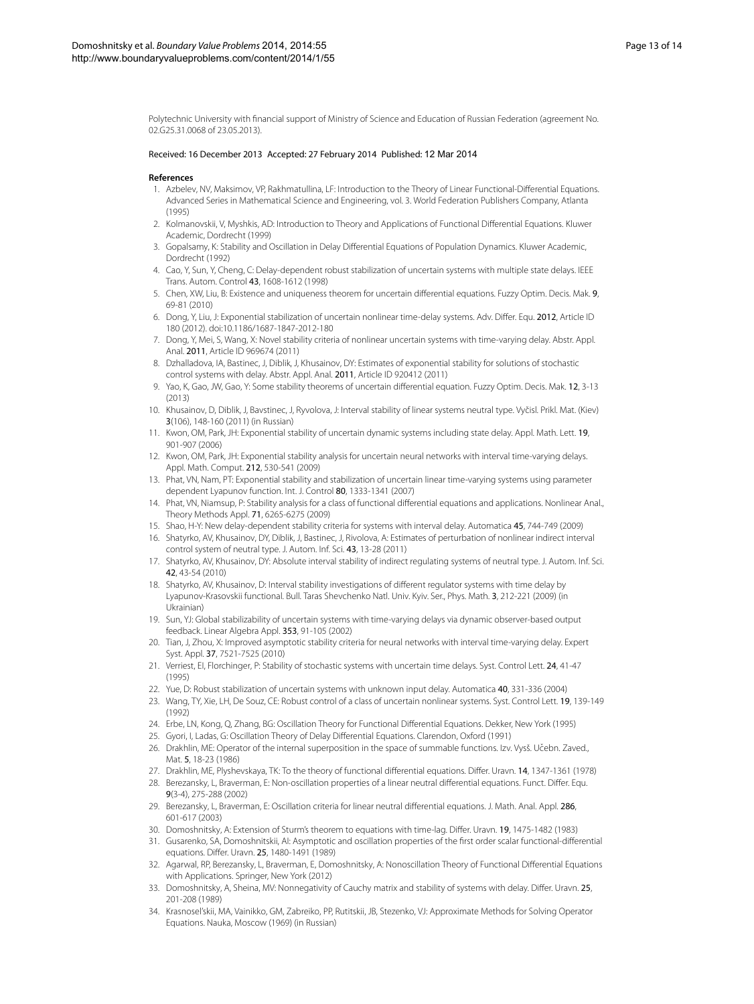<span id="page-12-2"></span><span id="page-12-1"></span><span id="page-12-0"></span>Polytechnic University with financial support of Ministry of Science and Education of Russian Federation (agreement No. 02.G25.31.0068 of 23.05.2013).

#### <span id="page-12-3"></span>Received: 16 December 2013 Accepted: 27 February 2014 Published: 12 Mar 2014

#### <span id="page-12-5"></span>**References**

- 1. Azbelev, NV, Maksimov, VP, Rakhmatullina, LF: Introduction to the Theory of Linear Functional-Differential Equations. Advanced Series in Mathematical Science and Engineering, vol. 3. World Federation Publishers Company, Atlanta (1995)
- 2. Kolmanovskii, V, Myshkis, AD: Introduction to Theory and Applications of Functional Differential Equations. Kluwer Academic, Dordrecht (1999)
- <span id="page-12-6"></span>3. Gopalsamy, K: Stability and Oscillation in Delay Differential Equations of Population Dynamics. Kluwer Academic, Dordrecht (1992)
- 4. Cao, Y, Sun, Y, Cheng, C: Delay-dependent robust stabilization of uncertain systems with multiple state delays. IEEE Trans. Autom. Control 43, 1608-1612 (1998)
- <span id="page-12-17"></span>5. Chen, XW, Liu, B: Existence and uniqueness theorem for uncertain differential equations. Fuzzy Optim. Decis. Mak. 9, 69-81 (2010)
- <span id="page-12-7"></span>6. Dong, Y, Liu, J: Exponential stabilization of uncertain nonlinear time-delay systems. Adv. Differ. Equ. 2012, Article ID 180 (2012). doi[:10.1186/1687-1847-2012-180](http://dx.doi.org/10.1186/1687-1847-2012-180)
- <span id="page-12-13"></span>7. Dong, Y, Mei, S, Wang, X: Novel stability criteria of nonlinear uncertain systems with time-varying delay. Abstr. Appl. Anal. 2011, Article ID 969674 (2011)
- 8. Dzhalladova, IA, Bastinec, J, Diblik, J, Khusainov, DY: Estimates of exponential stability for solutions of stochastic control systems with delay. Abstr. Appl. Anal. 2011, Article ID 920412 (2011)
- <span id="page-12-8"></span>9. Yao, K, Gao, JW, Gao, Y: Some stability theorems of uncertain differential equation. Fuzzy Optim. Decis. Mak. 12, 3-13 (2013)
- <span id="page-12-14"></span>10. Khusainov, D, Diblik, J, Bavstinec, J, Ryvolova, J: Interval stability of linear systems neutral type. Vyčisl. Prikl. Mat. (Kiev) 3(106), 148-160 (2011) (in Russian)
- <span id="page-12-9"></span>11. Kwon, OM, Park, JH: Exponential stability of uncertain dynamic systems including state delay. Appl. Math. Lett. 19, 901-907 (2006)
- <span id="page-12-18"></span><span id="page-12-10"></span>12. Kwon, OM, Park, JH: Exponential stability analysis for uncertain neural networks with interval time-varying delays. Appl. Math. Comput. 212, 530-541 (2009)
- 13. Phat, VN, Nam, PT: Exponential stability and stabilization of uncertain linear time-varying systems using parameter dependent Lyapunov function. Int. J. Control 80, 1333-1341 (2007)
- <span id="page-12-12"></span>14. Phat, VN, Niamsup, P: Stability analysis for a class of functional differential equations and applications. Nonlinear Anal., Theory Methods Appl. 71, 6265-6275 (2009)
- <span id="page-12-15"></span>15. Shao, H-Y: New delay-dependent stability criteria for systems with interval delay. Automatica 45, 744-749 (2009)
- 16. Shatyrko, AV, Khusainov, DY, Diblik, J, Bastinec, J, Rivolova, A: Estimates of perturbation of nonlinear indirect interval control system of neutral type. J. Autom. Inf. Sci. 43, 13-28 (2011)
- <span id="page-12-16"></span>17. Shatyrko, AV, Khusainov, DY: Absolute interval stability of indirect regulating systems of neutral type. J. Autom. Inf. Sci. 42, 43-54 (2010)
- <span id="page-12-11"></span><span id="page-12-4"></span>18. Shatyrko, AV, Khusainov, D: Interval stability investigations of different regulator systems with time delay by Lyapunov-Krasovskii functional. Bull. Taras Shevchenko Natl. Univ. Kyiv. Ser., Phys. Math. 3, 212-221 (2009) (in Ukrainian)
- <span id="page-12-20"></span><span id="page-12-19"></span>19. Sun, YJ: Global stabilizability of uncertain systems with time-varying delays via dynamic observer-based output feedback. Linear Algebra Appl. 353, 91-105 (2002)
- <span id="page-12-21"></span>20. Tian, J, Zhou, X: Improved asymptotic stability criteria for neural networks with interval time-varying delay. Expert Syst. Appl. 37, 7521-7525 (2010)
- <span id="page-12-23"></span><span id="page-12-22"></span>21. Verriest, EI, Florchinger, P: Stability of stochastic systems with uncertain time delays. Syst. Control Lett. 24, 41-47 (1995)
- 22. Yue, D: Robust stabilization of uncertain systems with unknown input delay. Automatica 40, 331-336 (2004)
- 23. Wang, TY, Xie, LH, De Souz, CE: Robust control of a class of uncertain nonlinear systems. Syst. Control Lett. 19, 139-149 (1992)
- <span id="page-12-27"></span><span id="page-12-24"></span>24. Erbe, LN, Kong, Q, Zhang, BG: Oscillation Theory for Functional Differential Equations. Dekker, New York (1995)
- 25. Gyori, I, Ladas, G: Oscillation Theory of Delay Differential Equations. Clarendon, Oxford (1991)
- <span id="page-12-25"></span>26. Drakhlin, ME: Operator of the internal superposition in the space of summable functions. Izv. Vysš. Učebn. Zaved., Mat. 5, 18-23 (1986)
- <span id="page-12-26"></span>27. Drakhlin, ME, Plyshevskaya, TK: To the theory of functional differential equations. Differ. Uravn. 14, 1347-1361 (1978)
- 28. Berezansky, L, Braverman, E: Non-oscillation properties of a linear neutral differential equations. Funct. Differ. Equ. 9(3-4), 275-288 (2002)
- <span id="page-12-28"></span>29. Berezansky, L, Braverman, E: Oscillation criteria for linear neutral differential equations. J. Math. Anal. Appl. 286, 601-617 (2003)
- 30. Domoshnitsky, A: Extension of Sturm's theorem to equations with time-lag. Differ. Uravn. 19, 1475-1482 (1983)
- 31. Gusarenko, SA, Domoshnitskii, AI: Asymptotic and oscillation properties of the first order scalar functional-differential equations. Differ. Uravn. 25, 1480-1491 (1989)
- 32. Agarwal, RP, Berezansky, L, Braverman, E, Domoshnitsky, A: Nonoscillation Theory of Functional Differential Equations with Applications. Springer, New York (2012)
- 33. Domoshnitsky, A, Sheina, MV: Nonnegativity of Cauchy matrix and stability of systems with delay. Differ. Uravn. 25, 201-208 (1989)
- 34. Krasnosel'skii, MA, Vainikko, GM, Zabreiko, PP, Rutitskii, JB, Stezenko, VJ: Approximate Methods for Solving Operator Equations. Nauka, Moscow (1969) (in Russian)